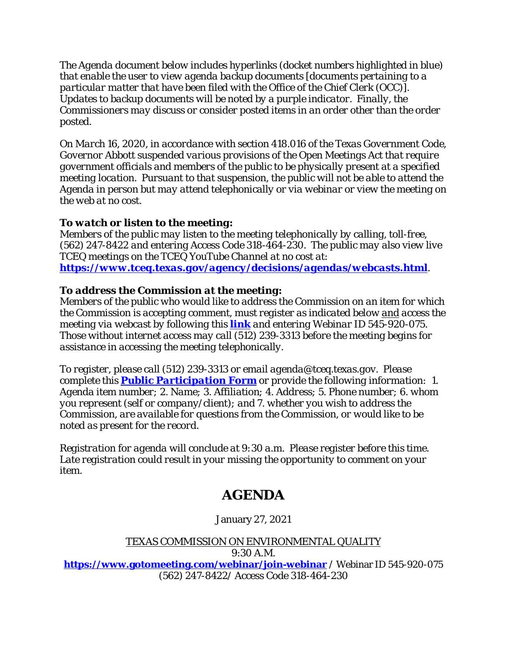*The Agenda document below includes hyperlinks (docket numbers highlighted in blue) that enable the user to view agenda backup documents [documents pertaining to a particular matter that have been filed with the Office of the Chief Clerk (OCC)]. Updates to backup documents will be noted by a purple indicator. Finally, the Commissioners may discuss or consider posted items in an order other than the order posted.* 

*On March 16, 2020, in accordance with section 418.016 of the Texas Government Code, Governor Abbott suspended various provisions of the Open Meetings Act that require government officials and members of the public to be physically present at a specified meeting location. Pursuant to that suspension, the public will not be able to attend the Agenda in person but may attend telephonically or via webinar or view the meeting on the web at no cost.* 

# *To watch or listen to the meeting:*

*Members of the public may listen to the meeting telephonically by calling, toll-free, (562) 247-8422 and entering Access Code 318-464-230. The public may also view live TCEQ meetings on the TCEQ YouTube Channel at no cost at: <https://www.tceq.texas.gov/agency/decisions/agendas/webcasts.html>.* 

## *To address the Commission at the meeting:*

*Members of the public who would like to address the Commission on an item for which the Commission is accepting comment, must register as indicated below and access the meeting via webcast by following this [link](https://www.gotomeeting.com/webinar/join-webinar) and entering Webinar ID 545-920-075. Those without internet access may call (512) 239-3313 before the meeting begins for assistance in accessing the meeting telephonically.*

*To register, please call (512) 239-3313 or email agenda@tceq.texas.gov. Please complete this [Public Participation Form](http://www.tceq.texas.gov/assets/public/comm_exec/agendas/comm/AgendaRegistrationForm.docx) or provide the following information: 1. Agenda item number; 2. Name; 3. Affiliation; 4. Address; 5. Phone number; 6. whom you represent (self or company/client); and 7. whether you wish to address the Commission, are available for questions from the Commission, or would like to be noted as present for the record.* 

*Registration for agenda will conclude at 9:30 a.m. Please register before this time. Late registration could result in your missing the opportunity to comment on your item.*

# **AGENDA**

# January 27, 2021

# TEXAS COMMISSION ON ENVIRONMENTAL QUALITY

9:30 A.M.

**[https://www.gotomeeting.com/webinar/join-webinar](https://www.gotomeeting.com/webinar/join-webinar%20/)** / Webinar ID 545-920-075 (562) 247-8422/ Access Code 318-464-230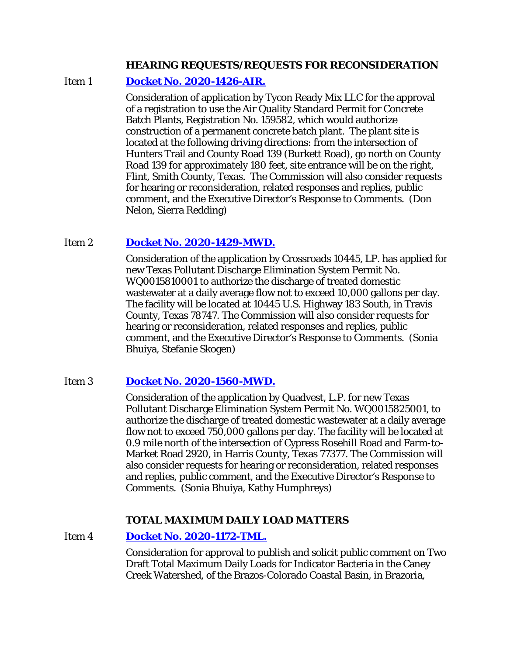#### **HEARING REQUESTS/REQUESTS FOR RECONSIDERATION**

#### Item 1 **[Docket No. 2020-1426-AIR.](http://www.tceq.texas.gov/assets/public/comm_exec/agendas/comm/backup/Agendas/2021/01-27-2021/tycon.pdf)**

Consideration of application by Tycon Ready Mix LLC for the approval of a registration to use the Air Quality Standard Permit for Concrete Batch Plants, Registration No. 159582, which would authorize construction of a permanent concrete batch plant. The plant site is located at the following driving directions: from the intersection of Hunters Trail and County Road 139 (Burkett Road), go north on County Road 139 for approximately 180 feet, site entrance will be on the right, Flint, Smith County, Texas. The Commission will also consider requests for hearing or reconsideration, related responses and replies, public comment, and the Executive Director's Response to Comments. (Don Nelon, Sierra Redding)

#### Item 2 **[Docket No. 2020-1429-MWD.](http://www.tceq.texas.gov/assets/public/comm_exec/agendas/comm/backup/Agendas/2021/01-27-2021/crossroads.pdf)**

Consideration of the application by Crossroads 10445, LP. has applied for new Texas Pollutant Discharge Elimination System Permit No. WQ0015810001 to authorize the discharge of treated domestic wastewater at a daily average flow not to exceed 10,000 gallons per day. The facility will be located at 10445 U.S. Highway 183 South, in Travis County, Texas 78747. The Commission will also consider requests for hearing or reconsideration, related responses and replies, public comment, and the Executive Director's Response to Comments. (Sonia Bhuiya, Stefanie Skogen)

Item 3 **[Docket No. 2020-1560-MWD.](http://www.tceq.texas.gov/assets/public/comm_exec/agendas/comm/backup/Agendas/2021/01-27-2021/quadvest.pdf)**

Consideration of the application by Quadvest, L.P. for new Texas Pollutant Discharge Elimination System Permit No. WQ0015825001, to authorize the discharge of treated domestic wastewater at a daily average flow not to exceed 750,000 gallons per day. The facility will be located at 0.9 mile north of the intersection of Cypress Rosehill Road and Farm-to-Market Road 2920, in Harris County, Texas 77377. The Commission will also consider requests for hearing or reconsideration, related responses and replies, public comment, and the Executive Director's Response to Comments. (Sonia Bhuiya, Kathy Humphreys)

### **TOTAL MAXIMUM DAILY LOAD MATTERS**

Item 4 **[Docket No. 2020-1172-TML.](http://www.tceq.texas.gov/assets/public/comm_exec/agendas/comm/backup/Agendas/2021/01-27-2021/1172TML.pdf)**

Consideration for approval to publish and solicit public comment on Two Draft Total Maximum Daily Loads for Indicator Bacteria in the Caney Creek Watershed, of the Brazos-Colorado Coastal Basin, in Brazoria,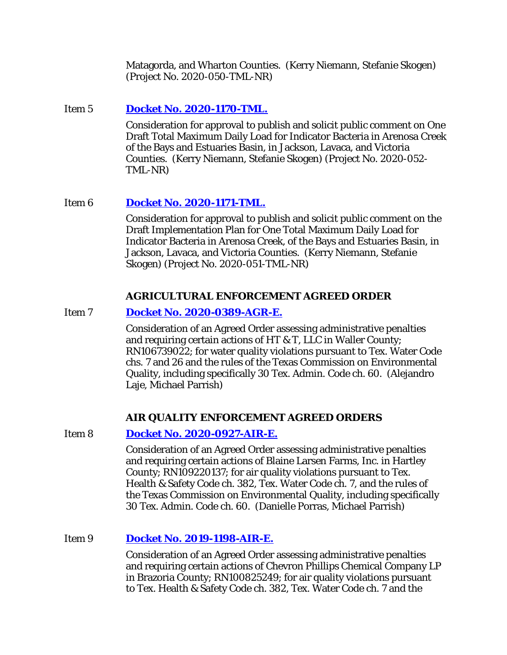Matagorda, and Wharton Counties. (Kerry Niemann, Stefanie Skogen) (Project No. 2020-050-TML-NR)

## **Item 5 [Docket No. 2020-1170-TML.](http://www.tceq.texas.gov/assets/public/comm_exec/agendas/comm/backup/Agendas/2021/01-27-2021/1170TML.pdf)**

Consideration for approval to publish and solicit public comment on One Draft Total Maximum Daily Load for Indicator Bacteria in Arenosa Creek, of the Bays and Estuaries Basin, in Jackson, Lavaca, and Victoria Counties. (Kerry Niemann, Stefanie Skogen) (Project No. 2020-052- TML-NR)

## Item 6 **[Docket No. 2020-1171-TML.](http://www.tceq.texas.gov/assets/public/comm_exec/agendas/comm/backup/Agendas/2021/01-27-2021/1171TML.pdf)**

Consideration for approval to publish and solicit public comment on the Draft Implementation Plan for One Total Maximum Daily Load for Indicator Bacteria in Arenosa Creek, of the Bays and Estuaries Basin, in Jackson, Lavaca, and Victoria Counties. (Kerry Niemann, Stefanie Skogen) (Project No. 2020-051-TML-NR)

## **AGRICULTURAL ENFORCEMENT AGREED ORDER**

## Item 7 **[Docket No. 2020-0389-AGR-E.](http://www.tceq.texas.gov/assets/public/comm_exec/agendas/comm/backup/Agendas/2021/01-27-2021/0389AGR.pdf)**

Consideration of an Agreed Order assessing administrative penalties and requiring certain actions of HT & T, LLC in Waller County; RN106739022; for water quality violations pursuant to Tex. Water Code chs. 7 and 26 and the rules of the Texas Commission on Environmental Quality, including specifically 30 Tex. Admin. Code ch. 60. (Alejandro Laje, Michael Parrish)

### **AIR QUALITY ENFORCEMENT AGREED ORDERS**

### Item 8 **[Docket No. 2020-0927-AIR-E.](http://www.tceq.texas.gov/assets/public/comm_exec/agendas/comm/backup/Agendas/2021/01-27-2021/0927AIR.pdf)**

Consideration of an Agreed Order assessing administrative penalties and requiring certain actions of Blaine Larsen Farms, Inc. in Hartley County; RN109220137; for air quality violations pursuant to Tex. Health & Safety Code ch. 382, Tex. Water Code ch. 7, and the rules of the Texas Commission on Environmental Quality, including specifically 30 Tex. Admin. Code ch. 60. (Danielle Porras, Michael Parrish)

### Item 9 **[Docket No. 2019-1198-AIR-E.](http://www.tceq.texas.gov/assets/public/comm_exec/agendas/comm/backup/Agendas/2021/01-27-2021/1198AIR.pdf)**

Consideration of an Agreed Order assessing administrative penalties and requiring certain actions of Chevron Phillips Chemical Company LP in Brazoria County; RN100825249; for air quality violations pursuant to Tex. Health & Safety Code ch. 382, Tex. Water Code ch. 7 and the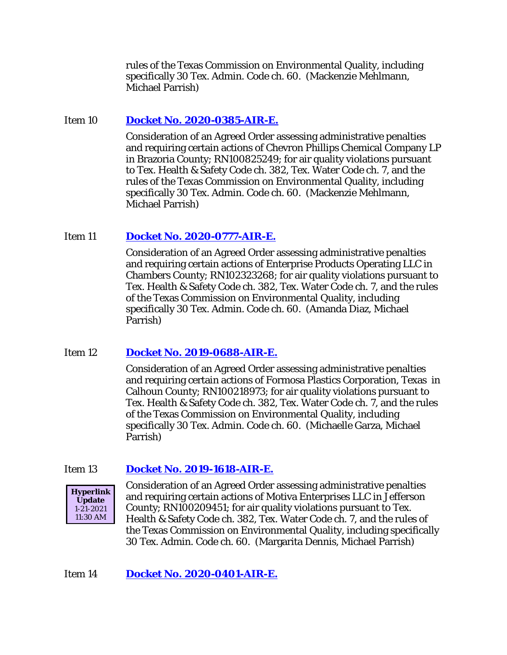rules of the Texas Commission on Environmental Quality, including specifically 30 Tex. Admin. Code ch. 60. (Mackenzie Mehlmann, Michael Parrish)

### Item 10 **[Docket No. 2020-0385-AIR-E.](http://www.tceq.texas.gov/assets/public/comm_exec/agendas/comm/backup/Agendas/2021/01-27-2021/0385AIR.pdf)**

Consideration of an Agreed Order assessing administrative penalties and requiring certain actions of Chevron Phillips Chemical Company LP in Brazoria County; RN100825249; for air quality violations pursuant to Tex. Health & Safety Code ch. 382, Tex. Water Code ch. 7, and the rules of the Texas Commission on Environmental Quality, including specifically 30 Tex. Admin. Code ch. 60. (Mackenzie Mehlmann, Michael Parrish)

# Item 11 **[Docket No. 2020-0777-AIR-E.](http://www.tceq.texas.gov/assets/public/comm_exec/agendas/comm/backup/Agendas/2021/01-27-2021/0777AIR.pdf)**

Consideration of an Agreed Order assessing administrative penalties and requiring certain actions of Enterprise Products Operating LLC in Chambers County; RN102323268; for air quality violations pursuant to Tex. Health & Safety Code ch. 382, Tex. Water Code ch. 7, and the rules of the Texas Commission on Environmental Quality, including specifically 30 Tex. Admin. Code ch. 60. (Amanda Diaz, Michael Parrish)

# Item 12 **[Docket No. 2019-0688-AIR-E.](http://www.tceq.texas.gov/assets/public/comm_exec/agendas/comm/backup/Agendas/2021/01-27-2021/0688AIR.pdf)**

Consideration of an Agreed Order assessing administrative penalties and requiring certain actions of Formosa Plastics Corporation, Texas in Calhoun County; RN100218973; for air quality violations pursuant to Tex. Health & Safety Code ch. 382, Tex. Water Code ch. 7, and the rules of the Texas Commission on Environmental Quality, including specifically 30 Tex. Admin. Code ch. 60. (Michaelle Garza, Michael Parrish)

### Item 13 **[Docket No. 2019-1618-AIR-E.](http://www.tceq.texas.gov/assets/public/comm_exec/agendas/comm/backup/Agendas/2021/01-27-2021/1618AIR.pdf)**



Consideration of an Agreed Order assessing administrative penalties and requiring certain actions of Motiva Enterprises LLC in Jefferson County; RN100209451; for air quality violations pursuant to Tex. Health & Safety Code ch. 382, Tex. Water Code ch. 7, and the rules of the Texas Commission on Environmental Quality, including specifically 30 Tex. Admin. Code ch. 60. (Margarita Dennis, Michael Parrish)

### Item 14 **[Docket No. 2020-0401-AIR-E.](http://www.tceq.texas.gov/assets/public/comm_exec/agendas/comm/backup/Agendas/2021/01-27-2021/0401AIR.pdf)**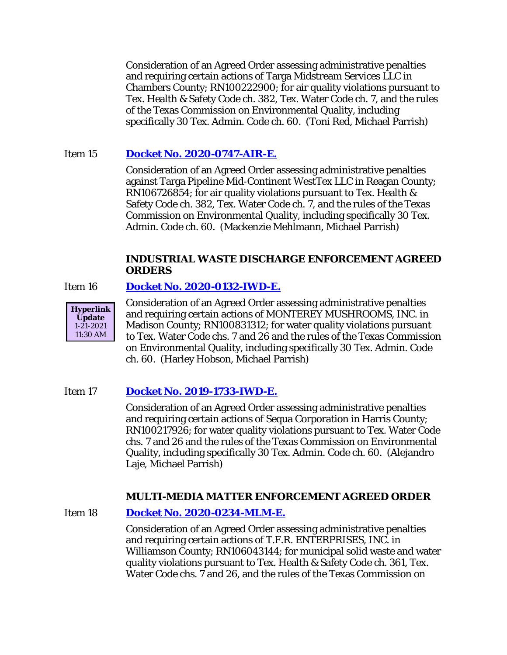Consideration of an Agreed Order assessing administrative penalties and requiring certain actions of Targa Midstream Services LLC in Chambers County; RN100222900; for air quality violations pursuant to Tex. Health & Safety Code ch. 382, Tex. Water Code ch. 7, and the rules of the Texas Commission on Environmental Quality, including specifically 30 Tex. Admin. Code ch. 60. (Toni Red, Michael Parrish)

# Item 15 **[Docket No. 2020-0747-AIR-E.](http://www.tceq.texas.gov/assets/public/comm_exec/agendas/comm/backup/Agendas/2021/01-27-2021/0747AIR.pdf)**

Consideration of an Agreed Order assessing administrative penalties against Targa Pipeline Mid-Continent WestTex LLC in Reagan County; RN106726854; for air quality violations pursuant to Tex. Health & Safety Code ch. 382, Tex. Water Code ch. 7, and the rules of the Texas Commission on Environmental Quality, including specifically 30 Tex. Admin. Code ch. 60. (Mackenzie Mehlmann, Michael Parrish)

#### **INDUSTRIAL WASTE DISCHARGE ENFORCEMENT AGREED ORDERS**

### Item 16 **[Docket No. 2020-0132-IWD-E.](http://www.tceq.texas.gov/assets/public/comm_exec/agendas/comm/backup/Agendas/2021/01-27-2021/0132IWD.pdf)**



Consideration of an Agreed Order assessing administrative penalties and requiring certain actions of MONTEREY MUSHROOMS, INC. in Madison County; RN100831312; for water quality violations pursuant to Tex. Water Code chs. 7 and 26 and the rules of the Texas Commission on Environmental Quality, including specifically 30 Tex. Admin. Code ch. 60. (Harley Hobson, Michael Parrish)

# Item 17 **[Docket No. 2019-1733-IWD-E.](http://www.tceq.texas.gov/assets/public/comm_exec/agendas/comm/backup/Agendas/2021/01-27-2021/1733IWD.pdf)**

Consideration of an Agreed Order assessing administrative penalties and requiring certain actions of Sequa Corporation in Harris County; RN100217926; for water quality violations pursuant to Tex. Water Code chs. 7 and 26 and the rules of the Texas Commission on Environmental Quality, including specifically 30 Tex. Admin. Code ch. 60. (Alejandro Laje, Michael Parrish)

### **MULTI-MEDIA MATTER ENFORCEMENT AGREED ORDER**

Item 18 **[Docket No. 2020-0234-MLM-E.](http://www.tceq.texas.gov/assets/public/comm_exec/agendas/comm/backup/Agendas/2021/01-27-2021/0234MLM.pdf)**

Consideration of an Agreed Order assessing administrative penalties and requiring certain actions of T.F.R. ENTERPRISES, INC. in Williamson County; RN106043144; for municipal solid waste and water quality violations pursuant to Tex. Health & Safety Code ch. 361, Tex. Water Code chs. 7 and 26, and the rules of the Texas Commission on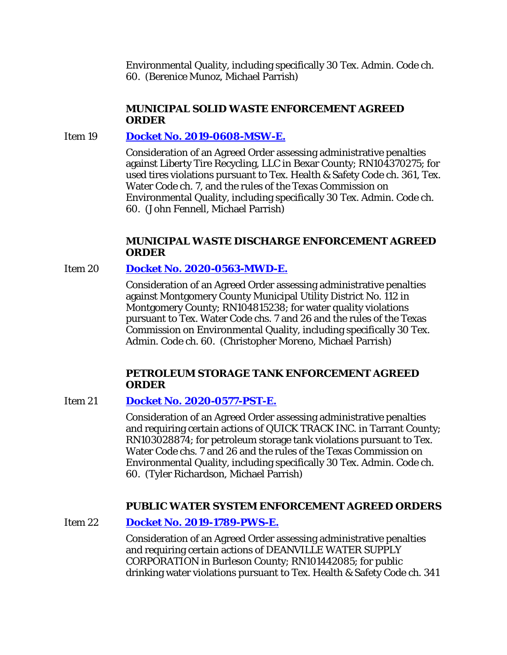Environmental Quality, including specifically 30 Tex. Admin. Code ch. 60. (Berenice Munoz, Michael Parrish)

### **MUNICIPAL SOLID WASTE ENFORCEMENT AGREED ORDER**

## Item 19 **[Docket No. 2019-0608-MSW-E.](http://www.tceq.texas.gov/assets/public/comm_exec/agendas/comm/backup/Agendas/2021/01-27-2021/0608MSW.pdf)**

Consideration of an Agreed Order assessing administrative penalties against Liberty Tire Recycling, LLC in Bexar County; RN104370275; for used tires violations pursuant to Tex. Health & Safety Code ch. 361, Tex. Water Code ch. 7, and the rules of the Texas Commission on Environmental Quality, including specifically 30 Tex. Admin. Code ch. 60. (John Fennell, Michael Parrish)

### **MUNICIPAL WASTE DISCHARGE ENFORCEMENT AGREED ORDER**

### Item 20 **[Docket No. 2020-0563-MWD-E.](http://www.tceq.texas.gov/assets/public/comm_exec/agendas/comm/backup/Agendas/2021/01-27-2021/0563MWD.pdf)**

Consideration of an Agreed Order assessing administrative penalties against Montgomery County Municipal Utility District No. 112 in Montgomery County; RN104815238; for water quality violations pursuant to Tex. Water Code chs. 7 and 26 and the rules of the Texas Commission on Environmental Quality, including specifically 30 Tex. Admin. Code ch. 60. (Christopher Moreno, Michael Parrish)

#### **PETROLEUM STORAGE TANK ENFORCEMENT AGREED ORDER**

Item 21 **[Docket No. 2020-0577-PST-E.](http://www.tceq.texas.gov/assets/public/comm_exec/agendas/comm/backup/Agendas/2021/01-27-2021/0577PST.pdf)**

Consideration of an Agreed Order assessing administrative penalties and requiring certain actions of QUICK TRACK INC. in Tarrant County; RN103028874; for petroleum storage tank violations pursuant to Tex. Water Code chs. 7 and 26 and the rules of the Texas Commission on Environmental Quality, including specifically 30 Tex. Admin. Code ch. 60. (Tyler Richardson, Michael Parrish)

### **PUBLIC WATER SYSTEM ENFORCEMENT AGREED ORDERS**

Item 22 **[Docket No. 2019-1789-PWS-E.](http://www.tceq.texas.gov/assets/public/comm_exec/agendas/comm/backup/Agendas/2021/01-27-2021/1789PWS.pdf)**

Consideration of an Agreed Order assessing administrative penalties and requiring certain actions of DEANVILLE WATER SUPPLY CORPORATION in Burleson County; RN101442085; for public drinking water violations pursuant to Tex. Health & Safety Code ch. 341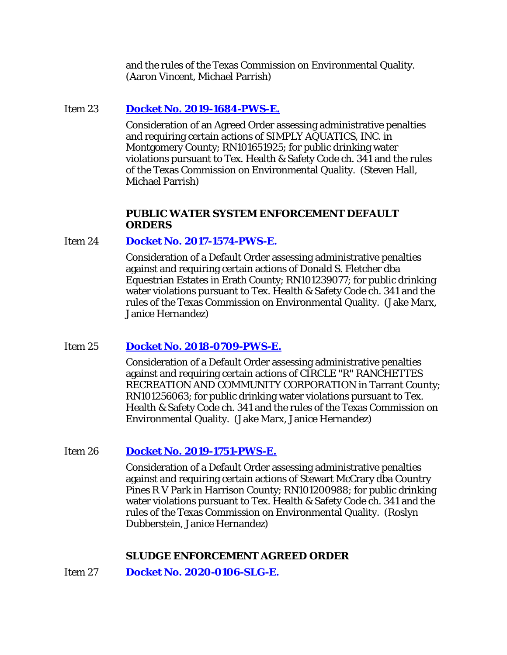and the rules of the Texas Commission on Environmental Quality. (Aaron Vincent, Michael Parrish)

### Item 23 **[Docket No. 2019-1684-PWS-E.](http://www.tceq.texas.gov/assets/public/comm_exec/agendas/comm/backup/Agendas/2021/01-27-2021/1684PWS.pdf)**

Consideration of an Agreed Order assessing administrative penalties and requiring certain actions of SIMPLY AQUATICS, INC. in Montgomery County; RN101651925; for public drinking water violations pursuant to Tex. Health & Safety Code ch. 341 and the rules of the Texas Commission on Environmental Quality. (Steven Hall, Michael Parrish)

#### **PUBLIC WATER SYSTEM ENFORCEMENT DEFAULT ORDERS**

### Item 24 **[Docket No. 2017-1574-PWS-E.](http://www.tceq.texas.gov/assets/public/comm_exec/agendas/comm/backup/Agendas/2021/01-27-2021/1574PWS.pdf)**

Consideration of a Default Order assessing administrative penalties against and requiring certain actions of Donald S. Fletcher dba Equestrian Estates in Erath County; RN101239077; for public drinking water violations pursuant to Tex. Health & Safety Code ch. 341 and the rules of the Texas Commission on Environmental Quality. (Jake Marx, Janice Hernandez)

# Item 25 **[Docket No. 2018-0709-PWS-E.](http://www.tceq.texas.gov/assets/public/comm_exec/agendas/comm/backup/Agendas/2021/01-27-2021/0709PWS.pdf)**

Consideration of a Default Order assessing administrative penalties against and requiring certain actions of CIRCLE "R" RANCHETTES RECREATION AND COMMUNITY CORPORATION in Tarrant County; RN101256063; for public drinking water violations pursuant to Tex. Health & Safety Code ch. 341 and the rules of the Texas Commission on Environmental Quality. (Jake Marx, Janice Hernandez)

### Item 26 **[Docket No. 2019-1751-PWS-E.](http://www.tceq.texas.gov/assets/public/comm_exec/agendas/comm/backup/Agendas/2021/01-27-2021/1751PWS.pdf)**

Consideration of a Default Order assessing administrative penalties against and requiring certain actions of Stewart McCrary dba Country Pines R V Park in Harrison County; RN101200988; for public drinking water violations pursuant to Tex. Health & Safety Code ch. 341 and the rules of the Texas Commission on Environmental Quality. (Roslyn Dubberstein, Janice Hernandez)

# **SLUDGE ENFORCEMENT AGREED ORDER**

Item 27 **[Docket No. 2020-0106-SLG-E.](http://www.tceq.texas.gov/assets/public/comm_exec/agendas/comm/backup/Agendas/2021/01-27-2021/0106SLG.pdf)**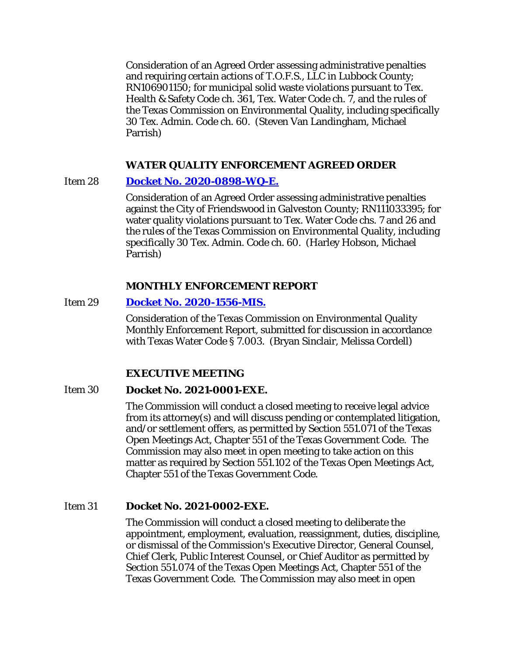Consideration of an Agreed Order assessing administrative penalties and requiring certain actions of T.O.F.S., LLC in Lubbock County; RN106901150; for municipal solid waste violations pursuant to Tex. Health & Safety Code ch. 361, Tex. Water Code ch. 7, and the rules of the Texas Commission on Environmental Quality, including specifically 30 Tex. Admin. Code ch. 60. (Steven Van Landingham, Michael Parrish)

### **WATER QUALITY ENFORCEMENT AGREED ORDER**

#### Item 28 **[Docket No. 2020-0898-WQ-E.](http://www.tceq.texas.gov/assets/public/comm_exec/agendas/comm/backup/Agendas/2021/01-27-2021/0898WQ.pdf)**

Consideration of an Agreed Order assessing administrative penalties against the City of Friendswood in Galveston County; RN111033395; for water quality violations pursuant to Tex. Water Code chs. 7 and 26 and the rules of the Texas Commission on Environmental Quality, including specifically 30 Tex. Admin. Code ch. 60. (Harley Hobson, Michael Parrish)

#### **MONTHLY ENFORCEMENT REPORT**

### Item 29 **[Docket No. 2020-1556-MIS.](http://www.tceq.texas.gov/assets/public/comm_exec/agendas/comm/backup/Agendas/2021/01-27-2021/1556MIS.pdf)**

Consideration of the Texas Commission on Environmental Quality Monthly Enforcement Report, submitted for discussion in accordance with Texas Water Code § 7.003. (Bryan Sinclair, Melissa Cordell)

### **EXECUTIVE MEETING**

#### Item 30 **Docket No. 2021-0001-EXE.**

The Commission will conduct a closed meeting to receive legal advice from its attorney(s) and will discuss pending or contemplated litigation, and/or settlement offers, as permitted by Section 551.071 of the Texas Open Meetings Act, Chapter 551 of the Texas Government Code. The Commission may also meet in open meeting to take action on this matter as required by Section 551.102 of the Texas Open Meetings Act, Chapter 551 of the Texas Government Code.

### Item 31 **Docket No. 2021-0002-EXE.**

The Commission will conduct a closed meeting to deliberate the appointment, employment, evaluation, reassignment, duties, discipline, or dismissal of the Commission's Executive Director, General Counsel, Chief Clerk, Public Interest Counsel, or Chief Auditor as permitted by Section 551.074 of the Texas Open Meetings Act, Chapter 551 of the Texas Government Code. The Commission may also meet in open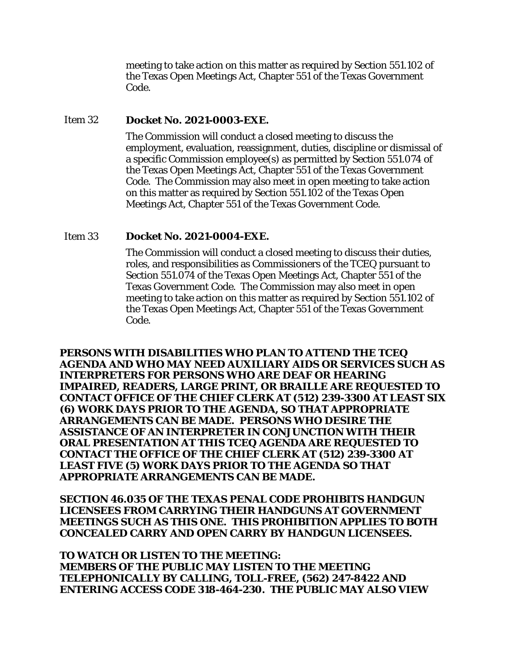meeting to take action on this matter as required by Section 551.102 of the Texas Open Meetings Act, Chapter 551 of the Texas Government Code.

#### Item 32 **Docket No. 2021-0003-EXE.**

The Commission will conduct a closed meeting to discuss the employment, evaluation, reassignment, duties, discipline or dismissal of a specific Commission employee(s) as permitted by Section 551.074 of the Texas Open Meetings Act, Chapter 551 of the Texas Government Code. The Commission may also meet in open meeting to take action on this matter as required by Section 551.102 of the Texas Open Meetings Act, Chapter 551 of the Texas Government Code.

#### Item 33 **Docket No. 2021-0004-EXE.**

The Commission will conduct a closed meeting to discuss their duties, roles, and responsibilities as Commissioners of the TCEQ pursuant to Section 551.074 of the Texas Open Meetings Act, Chapter 551 of the Texas Government Code. The Commission may also meet in open meeting to take action on this matter as required by Section 551.102 of the Texas Open Meetings Act, Chapter 551 of the Texas Government Code.

**PERSONS WITH DISABILITIES WHO PLAN TO ATTEND THE TCEQ AGENDA AND WHO MAY NEED AUXILIARY AIDS OR SERVICES SUCH AS INTERPRETERS FOR PERSONS WHO ARE DEAF OR HEARING IMPAIRED, READERS, LARGE PRINT, OR BRAILLE ARE REQUESTED TO CONTACT OFFICE OF THE CHIEF CLERK AT (512) 239-3300 AT LEAST SIX (6) WORK DAYS PRIOR TO THE AGENDA, SO THAT APPROPRIATE ARRANGEMENTS CAN BE MADE. PERSONS WHO DESIRE THE ASSISTANCE OF AN INTERPRETER IN CONJUNCTION WITH THEIR ORAL PRESENTATION AT THIS TCEQ AGENDA ARE REQUESTED TO CONTACT THE OFFICE OF THE CHIEF CLERK AT (512) 239-3300 AT LEAST FIVE (5) WORK DAYS PRIOR TO THE AGENDA SO THAT APPROPRIATE ARRANGEMENTS CAN BE MADE.**

**SECTION 46.035 OF THE TEXAS PENAL CODE PROHIBITS HANDGUN LICENSEES FROM CARRYING THEIR HANDGUNS AT GOVERNMENT MEETINGS SUCH AS THIS ONE. THIS PROHIBITION APPLIES TO BOTH CONCEALED CARRY AND OPEN CARRY BY HANDGUN LICENSEES.**

**TO WATCH OR LISTEN TO THE MEETING: MEMBERS OF THE PUBLIC MAY LISTEN TO THE MEETING TELEPHONICALLY BY CALLING, TOLL-FREE, (562) 247-8422 AND ENTERING ACCESS CODE 318-464-230. THE PUBLIC MAY ALSO VIEW**